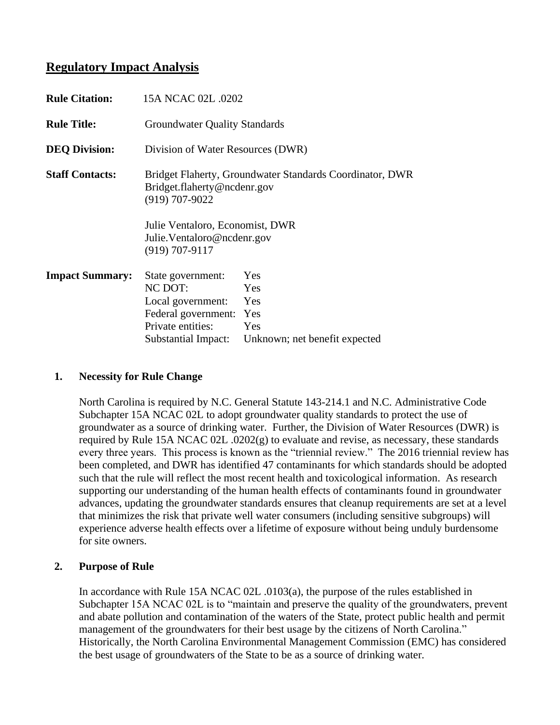# **Regulatory Impact Analysis**

| <b>Rule Citation:</b>  | 15A NCAC 02L .0202                                                                                                                    |                                                                  |  |  |  |  |
|------------------------|---------------------------------------------------------------------------------------------------------------------------------------|------------------------------------------------------------------|--|--|--|--|
| <b>Rule Title:</b>     |                                                                                                                                       | <b>Groundwater Quality Standards</b>                             |  |  |  |  |
| <b>DEQ Division:</b>   |                                                                                                                                       | Division of Water Resources (DWR)                                |  |  |  |  |
| <b>Staff Contacts:</b> | Bridget.flaherty@ncdenr.gov<br>$(919)$ 707-9022<br>Julie Ventaloro, Economist, DWR<br>Julie. Ventaloro@ncdenr.gov<br>$(919)$ 707-9117 | Bridget Flaherty, Groundwater Standards Coordinator, DWR         |  |  |  |  |
| <b>Impact Summary:</b> | State government:<br>NC DOT:<br>Local government:<br>Federal government:<br>Private entities:<br>Substantial Impact:                  | Yes<br>Yes<br>Yes<br>Yes<br>Yes<br>Unknown; net benefit expected |  |  |  |  |

## **1. Necessity for Rule Change**

North Carolina is required by N.C. General Statute 143-214.1 and N.C. Administrative Code Subchapter 15A NCAC 02L to adopt groundwater quality standards to protect the use of groundwater as a source of drinking water. Further, the Division of Water Resources (DWR) is required by Rule 15A NCAC 02L .0202(g) to evaluate and revise, as necessary, these standards every three years. This process is known as the "triennial review." The 2016 triennial review has been completed, and DWR has identified 47 contaminants for which standards should be adopted such that the rule will reflect the most recent health and toxicological information. As research supporting our understanding of the human health effects of contaminants found in groundwater advances, updating the groundwater standards ensures that cleanup requirements are set at a level that minimizes the risk that private well water consumers (including sensitive subgroups) will experience adverse health effects over a lifetime of exposure without being unduly burdensome for site owners.

# **2. Purpose of Rule**

In accordance with Rule 15A NCAC 02L .0103(a), the purpose of the rules established in Subchapter 15A NCAC 02L is to "maintain and preserve the quality of the groundwaters, prevent and abate pollution and contamination of the waters of the State, protect public health and permit management of the groundwaters for their best usage by the citizens of North Carolina." Historically, the North Carolina Environmental Management Commission (EMC) has considered the best usage of groundwaters of the State to be as a source of drinking water.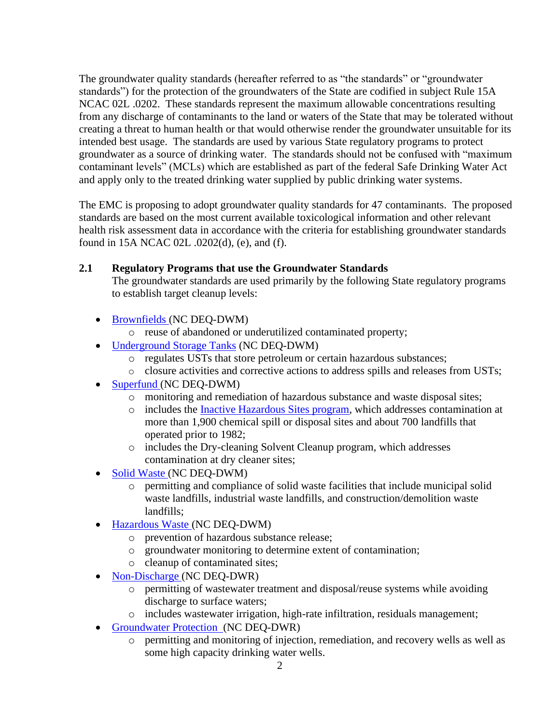The groundwater quality standards (hereafter referred to as "the standards" or "groundwater standards") for the protection of the groundwaters of the State are codified in subject Rule 15A NCAC 02L .0202. These standards represent the maximum allowable concentrations resulting from any discharge of contaminants to the land or waters of the State that may be tolerated without creating a threat to human health or that would otherwise render the groundwater unsuitable for its intended best usage. The standards are used by various State regulatory programs to protect groundwater as a source of drinking water. The standards should not be confused with "maximum contaminant levels" (MCLs) which are established as part of the federal Safe Drinking Water Act and apply only to the treated drinking water supplied by public drinking water systems.

The EMC is proposing to adopt groundwater quality standards for 47 contaminants. The proposed standards are based on the most current available toxicological information and other relevant health risk assessment data in accordance with the criteria for establishing groundwater standards found in 15A NCAC 02L .0202(d), (e), and (f).

# **2.1 Regulatory Programs that use the Groundwater Standards**

The groundwater standards are used primarily by the following State regulatory programs to establish target cleanup levels:

- [Brownfields](https://deq.nc.gov/about/divisions/waste-management/bf) (NC DEQ-DWM)
	- o reuse of abandoned or underutilized contaminated property;
- [Underground Storage Tanks](https://deq.nc.gov/about/divisions/waste-management/ust) (NC DEO-DWM)
	- o regulates USTs that store petroleum or certain hazardous substances;
	- o closure activities and corrective actions to address spills and releases from USTs;
- [Superfund](https://deq.nc.gov/about/divisions/waste-management/superfund-section) (NC DEQ-DWM)
	- o monitoring and remediation of hazardous substance and waste disposal sites;
	- o includes the [Inactive Hazardous Sites program,](https://deq.nc.gov/about/divisions/waste-management/waste-management-rules/inactive-hazardous-sites) which addresses contamination at more than 1,900 chemical spill or disposal sites and about 700 landfills that operated prior to 1982;
	- o includes the Dry-cleaning Solvent Cleanup program, which addresses contamination at dry cleaner sites;
- [Solid Waste](https://deq.nc.gov/about/divisions/waste-management/solid-waste-section) (NC DEQ-DWM)
	- o permitting and compliance of solid waste facilities that include municipal solid waste landfills, industrial waste landfills, and construction/demolition waste landfills;
- [Hazardous Waste](https://deq.nc.gov/about/divisions/waste-management/hw) (NC DEQ-DWM)
	- o prevention of hazardous substance release;
	- o groundwater monitoring to determine extent of contamination;
	- o cleanup of contaminated sites;
- [Non-Discharge](https://deq.nc.gov/about/divisions/water-resources/water-resources-permits/wastewater-branch/non-discharge-permitting) (NC DEQ-DWR)
	- o permitting of wastewater treatment and disposal/reuse systems while avoiding discharge to surface waters;
	- o includes wastewater irrigation, high-rate infiltration, residuals management;
- [Groundwater Protection](https://deq.nc.gov/about/divisions/water-resources/water-resources-permits/wastewater-branch/ground-water-protection/ground-water-programs) (NC DEQ-DWR)
	- o permitting and monitoring of injection, remediation, and recovery wells as well as some high capacity drinking water wells.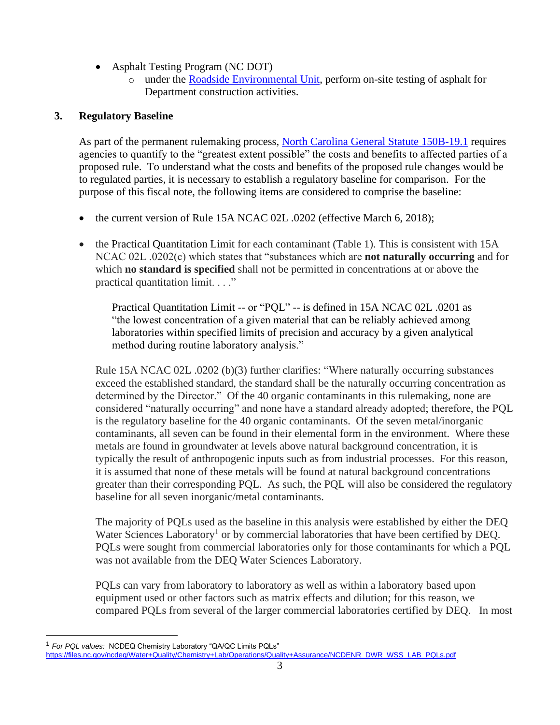- Asphalt Testing Program (NC DOT)
	- o under the [Roadside Environmental Unit,](https://apps.ncdot.gov/dot/directory/authenticated/UnitPage.aspx?id=2926) perform on-site testing of asphalt for Department construction activities.

# **3. Regulatory Baseline**

As part of the permanent rulemaking process, [North Carolina General Statute 150B-19.1](https://www.ncleg.net/EnactedLegislation/Statutes/HTML/ByChapter/Chapter_150B.html) requires agencies to quantify to the "greatest extent possible" the costs and benefits to affected parties of a proposed rule. To understand what the costs and benefits of the proposed rule changes would be to regulated parties, it is necessary to establish a regulatory baseline for comparison. For the purpose of this fiscal note, the following items are considered to comprise the baseline:

- the current version of Rule 15A NCAC 02L .0202 (effective March 6, 2018);
- the Practical Quantitation Limit for each contaminant (Table 1). This is consistent with 15A NCAC 02L .0202(c) which states that "substances which are **not naturally occurring** and for which **no standard is specified** shall not be permitted in concentrations at or above the practical quantitation limit. . . ."

Practical Quantitation Limit -- or "PQL" -- is defined in 15A NCAC 02L .0201 as "the lowest concentration of a given material that can be reliably achieved among laboratories within specified limits of precision and accuracy by a given analytical method during routine laboratory analysis."

Rule 15A NCAC 02L .0202 (b)(3) further clarifies: "Where naturally occurring substances exceed the established standard, the standard shall be the naturally occurring concentration as determined by the Director." Of the 40 organic contaminants in this rulemaking, none are considered "naturally occurring" and none have a standard already adopted; therefore, the PQL is the regulatory baseline for the 40 organic contaminants. Of the seven metal/inorganic contaminants, all seven can be found in their elemental form in the environment. Where these metals are found in groundwater at levels above natural background concentration, it is typically the result of anthropogenic inputs such as from industrial processes. For this reason, it is assumed that none of these metals will be found at natural background concentrations greater than their corresponding PQL. As such, the PQL will also be considered the regulatory baseline for all seven inorganic/metal contaminants.

The majority of PQLs used as the baseline in this analysis were established by either the DEQ Water Sciences Laboratory<sup>1</sup> or by commercial laboratories that have been certified by DEQ. PQLs were sought from commercial laboratories only for those contaminants for which a PQL was not available from the DEQ Water Sciences Laboratory.

PQLs can vary from laboratory to laboratory as well as within a laboratory based upon equipment used or other factors such as matrix effects and dilution; for this reason, we compared PQLs from several of the larger commercial laboratories certified by DEQ. In most

<sup>1</sup> *For PQL values:* NCDEQ Chemistry Laboratory "QA/QC Limits PQLs" [https://files.nc.gov/ncdeq/Water+Quality/Chemistry+Lab/Operations/Quality+Assurance/NCDENR\\_DWR\\_WSS\\_LAB\\_PQLs.pdf](https://files.nc.gov/ncdeq/Water+Quality/Chemistry+Lab/Operations/Quality+Assurance/NCDENR_DWR_WSS_LAB_PQLs.pdf)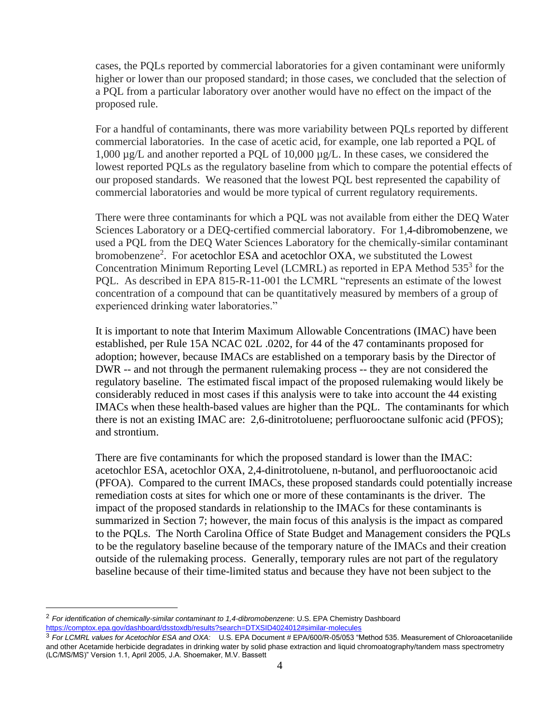cases, the PQLs reported by commercial laboratories for a given contaminant were uniformly higher or lower than our proposed standard; in those cases, we concluded that the selection of a PQL from a particular laboratory over another would have no effect on the impact of the proposed rule.

For a handful of contaminants, there was more variability between PQLs reported by different commercial laboratories. In the case of acetic acid, for example, one lab reported a PQL of 1,000 µg/L and another reported a PQL of 10,000 µg/L. In these cases, we considered the lowest reported PQLs as the regulatory baseline from which to compare the potential effects of our proposed standards. We reasoned that the lowest PQL best represented the capability of commercial laboratories and would be more typical of current regulatory requirements.

There were three contaminants for which a PQL was not available from either the DEQ Water Sciences Laboratory or a DEQ-certified commercial laboratory. For 1,4-dibromobenzene, we used a PQL from the DEQ Water Sciences Laboratory for the chemically-similar contaminant bromobenzene<sup>2</sup>. For acetochlor ESA and acetochlor OXA, we substituted the Lowest Concentration Minimum Reporting Level (LCMRL) as reported in EPA Method 535<sup>3</sup> for the PQL. As described in EPA 815-R-11-001 the LCMRL "represents an estimate of the lowest concentration of a compound that can be quantitatively measured by members of a group of experienced drinking water laboratories."

It is important to note that Interim Maximum Allowable Concentrations (IMAC) have been established, per Rule 15A NCAC 02L .0202, for 44 of the 47 contaminants proposed for adoption; however, because IMACs are established on a temporary basis by the Director of DWR -- and not through the permanent rulemaking process -- they are not considered the regulatory baseline. The estimated fiscal impact of the proposed rulemaking would likely be considerably reduced in most cases if this analysis were to take into account the 44 existing IMACs when these health-based values are higher than the PQL. The contaminants for which there is not an existing IMAC are: 2,6-dinitrotoluene; perfluorooctane sulfonic acid (PFOS); and strontium.

There are five contaminants for which the proposed standard is lower than the IMAC: acetochlor ESA, acetochlor OXA, 2,4-dinitrotoluene, n-butanol, and perfluorooctanoic acid (PFOA). Compared to the current IMACs, these proposed standards could potentially increase remediation costs at sites for which one or more of these contaminants is the driver. The impact of the proposed standards in relationship to the IMACs for these contaminants is summarized in Section 7; however, the main focus of this analysis is the impact as compared to the PQLs. The North Carolina Office of State Budget and Management considers the PQLs to be the regulatory baseline because of the temporary nature of the IMACs and their creation outside of the rulemaking process. Generally, temporary rules are not part of the regulatory baseline because of their time-limited status and because they have not been subject to the

<sup>2</sup> *For identification of chemically-similar contaminant to 1,4-dibromobenzene*: U.S. EPA Chemistry Dashboard <https://comptox.epa.gov/dashboard/dsstoxdb/results?search=DTXSID4024012#similar-molecules>

<sup>3</sup> *For LCMRL values for Acetochlor ESA and OXA:* U.S. EPA Document # EPA/600/R-05/053 "Method 535. Measurement of Chloroacetanilide and other Acetamide herbicide degradates in drinking water by solid phase extraction and liquid chromoatography/tandem mass spectrometry (LC/MS/MS)" Version 1.1, April 2005, J.A. Shoemaker, M.V. Bassett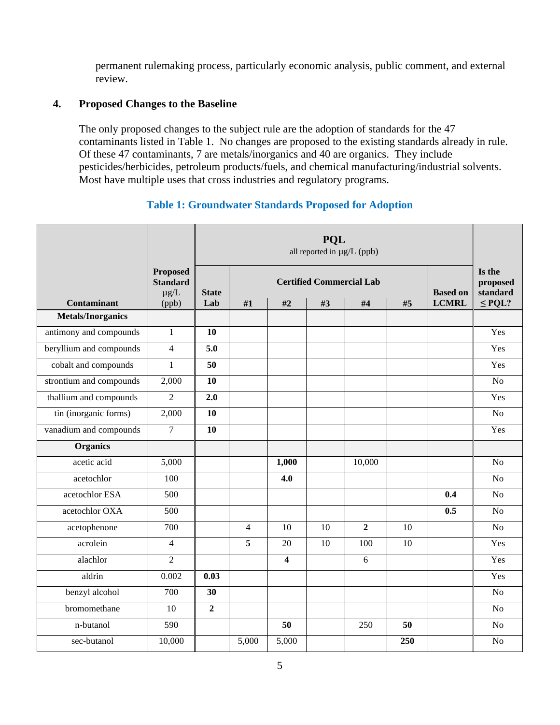permanent rulemaking process, particularly economic analysis, public comment, and external review.

### **4. Proposed Changes to the Baseline**

The only proposed changes to the subject rule are the adoption of standards for the 47 contaminants listed in Table 1. No changes are proposed to the existing standards already in rule. Of these 47 contaminants, 7 are metals/inorganics and 40 are organics. They include pesticides/herbicides, petroleum products/fuels, and chemical manufacturing/industrial solvents. Most have multiple uses that cross industries and regulatory programs.

## **Table 1: Groundwater Standards Proposed for Adoption**

|                          |                                                          |                     | <b>POL</b><br>all reported in µg/L (ppb) |                         |                                       |                |     |                                 |                                               |
|--------------------------|----------------------------------------------------------|---------------------|------------------------------------------|-------------------------|---------------------------------------|----------------|-----|---------------------------------|-----------------------------------------------|
| <b>Contaminant</b>       | <b>Proposed</b><br><b>Standard</b><br>$\mu$ g/L<br>(ppb) | <b>State</b><br>Lab | #1                                       | #2                      | <b>Certified Commercial Lab</b><br>#3 | #4             | #5  | <b>Based on</b><br><b>LCMRL</b> | Is the<br>proposed<br>standard<br>$\leq$ PQL? |
| <b>Metals/Inorganics</b> |                                                          |                     |                                          |                         |                                       |                |     |                                 |                                               |
| antimony and compounds   | $\mathbf{1}$                                             | 10                  |                                          |                         |                                       |                |     |                                 | Yes                                           |
| beryllium and compounds  | $\overline{4}$                                           | 5.0                 |                                          |                         |                                       |                |     |                                 | Yes                                           |
| cobalt and compounds     | $\mathbf{1}$                                             | 50                  |                                          |                         |                                       |                |     |                                 | Yes                                           |
| strontium and compounds  | 2,000                                                    | 10                  |                                          |                         |                                       |                |     |                                 | N <sub>o</sub>                                |
| thallium and compounds   | $\overline{2}$                                           | 2.0                 |                                          |                         |                                       |                |     |                                 | Yes                                           |
| tin (inorganic forms)    | 2,000                                                    | 10                  |                                          |                         |                                       |                |     |                                 | N <sub>o</sub>                                |
| vanadium and compounds   | $\overline{7}$                                           | 10                  |                                          |                         |                                       |                |     |                                 | Yes                                           |
| <b>Organics</b>          |                                                          |                     |                                          |                         |                                       |                |     |                                 |                                               |
| acetic acid              | 5,000                                                    |                     |                                          | 1,000                   |                                       | 10,000         |     |                                 | N <sub>o</sub>                                |
| acetochlor               | 100                                                      |                     |                                          | 4.0                     |                                       |                |     |                                 | No                                            |
| acetochlor ESA           | 500                                                      |                     |                                          |                         |                                       |                |     | 0.4                             | N <sub>o</sub>                                |
| acetochlor OXA           | 500                                                      |                     |                                          |                         |                                       |                |     | 0.5                             | No                                            |
| acetophenone             | 700                                                      |                     | $\overline{4}$                           | 10                      | 10                                    | $\overline{2}$ | 10  |                                 | No                                            |
| acrolein                 | $\overline{4}$                                           |                     | 5                                        | 20                      | 10                                    | 100            | 10  |                                 | Yes                                           |
| alachlor                 | $\overline{2}$                                           |                     |                                          | $\overline{\mathbf{4}}$ |                                       | 6              |     |                                 | Yes                                           |
| aldrin                   | 0.002                                                    | 0.03                |                                          |                         |                                       |                |     |                                 | Yes                                           |
| benzyl alcohol           | 700                                                      | 30                  |                                          |                         |                                       |                |     |                                 | N <sub>o</sub>                                |
| bromomethane             | 10                                                       | $\overline{2}$      |                                          |                         |                                       |                |     |                                 | No                                            |
| n-butanol                | 590                                                      |                     |                                          | 50                      |                                       | 250            | 50  |                                 | N <sub>o</sub>                                |
| sec-butanol              | 10,000                                                   |                     | 5,000                                    | 5,000                   |                                       |                | 250 |                                 | N <sub>o</sub>                                |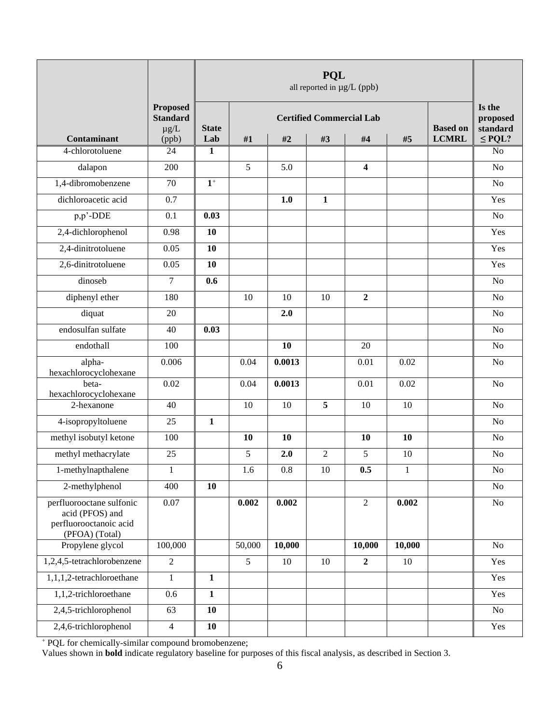|                                                                       |                                                 |              | <b>PQL</b><br>all reported in µg/L (ppb)           |        |                |                         |        |              |                                |
|-----------------------------------------------------------------------|-------------------------------------------------|--------------|----------------------------------------------------|--------|----------------|-------------------------|--------|--------------|--------------------------------|
|                                                                       | <b>Proposed</b><br><b>Standard</b><br>$\mu$ g/L | <b>State</b> | <b>Certified Commercial Lab</b><br><b>Based on</b> |        |                |                         |        |              | Is the<br>proposed<br>standard |
| Contaminant<br>4-chlorotoluene                                        | (ppb)<br>24                                     | Lab<br>1     | #1                                                 | #2     | #3             | #4                      | #5     | <b>LCMRL</b> | $\leq$ PQL?<br>No              |
| dalapon                                                               | 200                                             |              | 5                                                  | 5.0    |                | $\overline{\mathbf{4}}$ |        |              | No                             |
| 1,4-dibromobenzene                                                    | 70                                              | $1^+$        |                                                    |        |                |                         |        |              | No                             |
| dichloroacetic acid                                                   | 0.7                                             |              |                                                    | 1.0    | $\mathbf{1}$   |                         |        |              | Yes                            |
| p,p'-DDE                                                              | 0.1                                             | 0.03         |                                                    |        |                |                         |        |              | No                             |
| 2,4-dichlorophenol                                                    | 0.98                                            | 10           |                                                    |        |                |                         |        |              | Yes                            |
| 2,4-dinitrotoluene                                                    | 0.05                                            | 10           |                                                    |        |                |                         |        |              | Yes                            |
| 2,6-dinitrotoluene                                                    | 0.05                                            | 10           |                                                    |        |                |                         |        |              | Yes                            |
| dinoseb                                                               | $\overline{7}$                                  | 0.6          |                                                    |        |                |                         |        |              | No                             |
| diphenyl ether                                                        | 180                                             |              | 10                                                 | 10     | 10             | $\overline{2}$          |        |              | No                             |
| diquat                                                                | 20                                              |              |                                                    | 2.0    |                |                         |        |              | No                             |
| endosulfan sulfate                                                    | 40                                              | 0.03         |                                                    |        |                |                         |        |              | No                             |
| endothall                                                             | 100                                             |              |                                                    | 10     |                | 20                      |        |              | No                             |
| alpha-                                                                | 0.006                                           |              | 0.04                                               | 0.0013 |                | 0.01                    | 0.02   |              | $\rm No$                       |
| hexachlorocyclohexane<br>beta-                                        | 0.02                                            |              | 0.04                                               | 0.0013 |                | 0.01                    | 0.02   |              | No                             |
| hexachlorocyclohexane                                                 |                                                 |              |                                                    |        |                |                         |        |              |                                |
| 2-hexanone                                                            | 40                                              |              | 10                                                 | 10     | 5              | 10                      | 10     |              | No                             |
| 4-isopropyltoluene                                                    | 25                                              | $\mathbf{1}$ |                                                    |        |                |                         |        |              | No                             |
| methyl isobutyl ketone                                                | 100                                             |              | 10                                                 | 10     |                | 10                      | 10     |              | No                             |
| methyl methacrylate                                                   | 25                                              |              | 5                                                  | 2.0    | $\overline{c}$ | 5                       | 10     |              | No                             |
| 1-methylnapthalene                                                    | 1                                               |              | 1.6                                                | 0.8    | 10             | 0.5                     | 1      |              | $\rm No$                       |
| 2-methylphenol                                                        | 400                                             | 10           |                                                    |        |                |                         |        |              | No                             |
| perfluorooctane sulfonic<br>acid (PFOS) and<br>perfluorooctanoic acid | $0.07\,$                                        |              | 0.002                                              | 0.002  |                | $\overline{2}$          | 0.002  |              | No                             |
| (PFOA) (Total)                                                        |                                                 |              |                                                    |        |                |                         |        |              |                                |
| Propylene glycol                                                      | 100,000                                         |              | 50,000                                             | 10,000 |                | 10,000                  | 10,000 |              | $\rm No$                       |
| 1,2,4,5-tetrachlorobenzene                                            | $\overline{2}$                                  |              | 5                                                  | 10     | 10             | $\overline{2}$          | 10     |              | Yes                            |
| 1,1,1,2-tetrachloroethane                                             | $\mathbf{1}$                                    | $\mathbf{1}$ |                                                    |        |                |                         |        |              | Yes                            |
| 1,1,2-trichloroethane                                                 | 0.6                                             | $\mathbf{1}$ |                                                    |        |                |                         |        |              | Yes                            |
| 2,4,5-trichlorophenol                                                 | 63                                              | 10           |                                                    |        |                |                         |        |              | N <sub>o</sub>                 |
| 2,4,6-trichlorophenol                                                 | $\overline{4}$                                  | 10           |                                                    |        |                |                         |        |              | Yes                            |

<sup>+</sup> PQL for chemically-similar compound bromobenzene;

Values shown in **bold** indicate regulatory baseline for purposes of this fiscal analysis, as described in Section 3.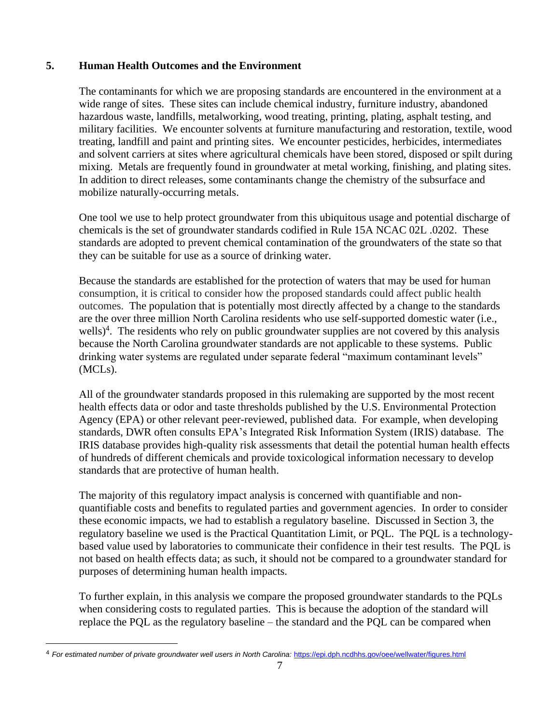# **5. Human Health Outcomes and the Environment**

The contaminants for which we are proposing standards are encountered in the environment at a wide range of sites. These sites can include chemical industry, furniture industry, abandoned hazardous waste, landfills, metalworking, wood treating, printing, plating, asphalt testing, and military facilities. We encounter solvents at furniture manufacturing and restoration, textile, wood treating, landfill and paint and printing sites. We encounter pesticides, herbicides, intermediates and solvent carriers at sites where agricultural chemicals have been stored, disposed or spilt during mixing. Metals are frequently found in groundwater at metal working, finishing, and plating sites. In addition to direct releases, some contaminants change the chemistry of the subsurface and mobilize naturally-occurring metals.

One tool we use to help protect groundwater from this ubiquitous usage and potential discharge of chemicals is the set of groundwater standards codified in Rule 15A NCAC 02L .0202. These standards are adopted to prevent chemical contamination of the groundwaters of the state so that they can be suitable for use as a source of drinking water.

Because the standards are established for the protection of waters that may be used for human consumption, it is critical to consider how the proposed standards could affect public health outcomes. The population that is potentially most directly affected by a change to the standards are the over three million North Carolina residents who use self-supported domestic water (i.e., wells)<sup>4</sup>. The residents who rely on public groundwater supplies are not covered by this analysis because the North Carolina groundwater standards are not applicable to these systems. Public drinking water systems are regulated under separate federal "maximum contaminant levels" (MCLs).

All of the groundwater standards proposed in this rulemaking are supported by the most recent health effects data or odor and taste thresholds published by the U.S. Environmental Protection Agency (EPA) or other relevant peer-reviewed, published data. For example, when developing standards, DWR often consults EPA's Integrated Risk Information System (IRIS) database. The IRIS database provides high-quality risk assessments that detail the potential human health effects of hundreds of different chemicals and provide toxicological information necessary to develop standards that are protective of human health.

The majority of this regulatory impact analysis is concerned with quantifiable and nonquantifiable costs and benefits to regulated parties and government agencies. In order to consider these economic impacts, we had to establish a regulatory baseline. Discussed in Section 3, the regulatory baseline we used is the Practical Quantitation Limit, or PQL. The PQL is a technologybased value used by laboratories to communicate their confidence in their test results. The PQL is not based on health effects data; as such, it should not be compared to a groundwater standard for purposes of determining human health impacts.

To further explain, in this analysis we compare the proposed groundwater standards to the PQLs when considering costs to regulated parties. This is because the adoption of the standard will replace the PQL as the regulatory baseline – the standard and the PQL can be compared when

<sup>&</sup>lt;sup>4</sup> For estimated number of private groundwater well users in North Carolina: <https://epi.dph.ncdhhs.gov/oee/wellwater/figures.html>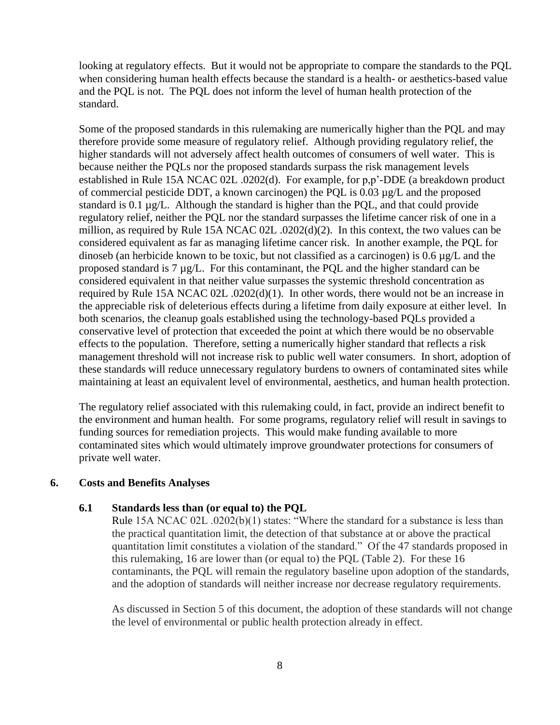looking at regulatory effects. But it would not be appropriate to compare the standards to the PQL when considering human health effects because the standard is a health- or aesthetics-based value and the PQL is not. The PQL does not inform the level of human health protection of the standard.

Some of the proposed standards in this rulemaking are numerically higher than the PQL and may therefore provide some measure of regulatory relief. Although providing regulatory relief, the higher standards will not adversely affect health outcomes of consumers of well water. This is because neither the PQLs nor the proposed standards surpass the risk management levels established in Rule 15A NCAC 02L .0202(d). For example, for p,p'-DDE (a breakdown product of commercial pesticide DDT, a known carcinogen) the PQL is 0.03 µg/L and the proposed standard is 0.1 µg/L. Although the standard is higher than the PQL, and that could provide regulatory relief, neither the PQL nor the standard surpasses the lifetime cancer risk of one in a million, as required by Rule 15A NCAC 02L .0202(d)(2). In this context, the two values can be considered equivalent as far as managing lifetime cancer risk. In another example, the PQL for dinoseb (an herbicide known to be toxic, but not classified as a carcinogen) is 0.6 µg/L and the proposed standard is 7 µg/L. For this contaminant, the PQL and the higher standard can be considered equivalent in that neither value surpasses the systemic threshold concentration as required by Rule 15A NCAC 02L .0202(d)(1). In other words, there would not be an increase in the appreciable risk of deleterious effects during a lifetime from daily exposure at either level. In both scenarios, the cleanup goals established using the technology-based PQLs provided a conservative level of protection that exceeded the point at which there would be no observable effects to the population. Therefore, setting a numerically higher standard that reflects a risk management threshold will not increase risk to public well water consumers. In short, adoption of these standards will reduce unnecessary regulatory burdens to owners of contaminated sites while maintaining at least an equivalent level of environmental, aesthetics, and human health protection.

The regulatory relief associated with this rulemaking could, in fact, provide an indirect benefit to the environment and human health. For some programs, regulatory relief will result in savings to funding sources for remediation projects. This would make funding available to more contaminated sites which would ultimately improve groundwater protections for consumers of private well water.

### **6. Costs and Benefits Analyses**

#### **6.1 Standards less than (or equal to) the PQL**

Rule 15A NCAC 02L .0202(b)(1) states: "Where the standard for a substance is less than the practical quantitation limit, the detection of that substance at or above the practical quantitation limit constitutes a violation of the standard." Of the 47 standards proposed in this rulemaking, 16 are lower than (or equal to) the PQL (Table 2). For these 16 contaminants, the PQL will remain the regulatory baseline upon adoption of the standards, and the adoption of standards will neither increase nor decrease regulatory requirements.

As discussed in Section 5 of this document, the adoption of these standards will not change the level of environmental or public health protection already in effect.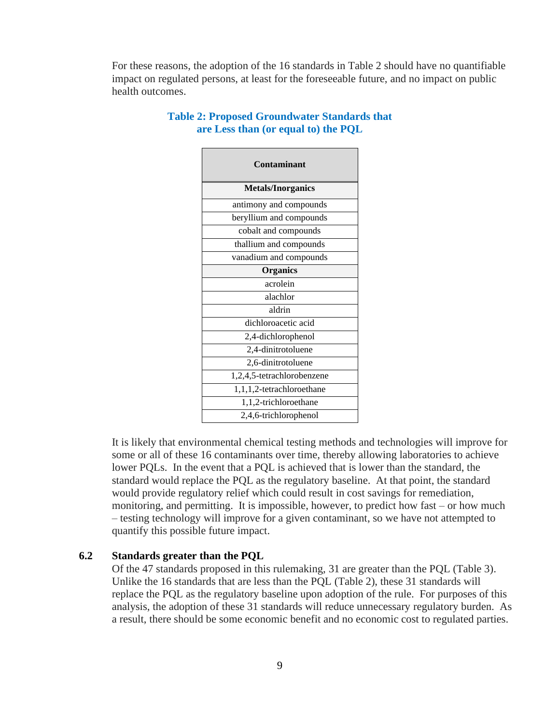For these reasons, the adoption of the 16 standards in Table 2 should have no quantifiable impact on regulated persons, at least for the foreseeable future, and no impact on public health outcomes.

| Contaminant                |
|----------------------------|
| <b>Metals/Inorganics</b>   |
| antimony and compounds     |
| beryllium and compounds    |
| cobalt and compounds       |
| thallium and compounds     |
| vanadium and compounds     |
| <b>Organics</b>            |
| acrolein                   |
| alachlor                   |
| aldrin                     |
| dichloroacetic acid        |
| 2,4-dichlorophenol         |
| 2,4-dinitrotoluene         |
| 2,6-dinitrotoluene         |
| 1,2,4,5-tetrachlorobenzene |
| 1,1,1,2-tetrachloroethane  |
| 1,1,2-trichloroethane      |
| 2,4,6-trichlorophenol      |

### **Table 2: Proposed Groundwater Standards that are Less than (or equal to) the PQL**

It is likely that environmental chemical testing methods and technologies will improve for some or all of these 16 contaminants over time, thereby allowing laboratories to achieve lower PQLs. In the event that a PQL is achieved that is lower than the standard, the standard would replace the PQL as the regulatory baseline. At that point, the standard would provide regulatory relief which could result in cost savings for remediation, monitoring, and permitting. It is impossible, however, to predict how fast – or how much – testing technology will improve for a given contaminant, so we have not attempted to quantify this possible future impact.

# **6.2 Standards greater than the PQL**

Of the 47 standards proposed in this rulemaking, 31 are greater than the PQL (Table 3). Unlike the 16 standards that are less than the PQL (Table 2), these 31 standards will replace the PQL as the regulatory baseline upon adoption of the rule. For purposes of this analysis, the adoption of these 31 standards will reduce unnecessary regulatory burden. As a result, there should be some economic benefit and no economic cost to regulated parties.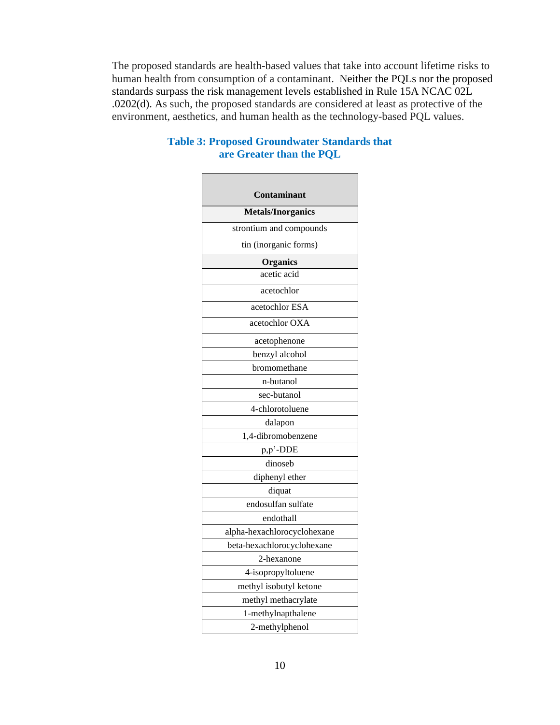The proposed standards are health-based values that take into account lifetime risks to human health from consumption of a contaminant. Neither the PQLs nor the proposed standards surpass the risk management levels established in Rule 15A NCAC 02L .0202(d). As such, the proposed standards are considered at least as protective of the environment, aesthetics, and human health as the technology-based PQL values.

| Contaminant                 |
|-----------------------------|
|                             |
| <b>Metals/Inorganics</b>    |
| strontium and compounds     |
| tin (inorganic forms)       |
| <b>Organics</b>             |
| acetic acid                 |
| acetochlor                  |
| acetochlor ESA              |
| acetochlor OXA              |
| acetophenone                |
| benzyl alcohol              |
| bromomethane                |
| n-butanol                   |
| sec-butanol                 |
| 4-chlorotoluene             |
| dalapon                     |
| 1,4-dibromobenzene          |
| p,p'-DDE                    |
| dinoseb                     |
| diphenyl ether              |
| diquat                      |
| endosulfan sulfate          |
| endothall                   |
| alpha-hexachlorocyclohexane |
| beta-hexachlorocyclohexane  |
| 2-hexanone                  |
| 4-isopropyltoluene          |
| methyl isobutyl ketone      |
| methyl methacrylate         |
| 1-methylnapthalene          |
| 2-methylphenol              |

# **Table 3: Proposed Groundwater Standards that are Greater than the PQL**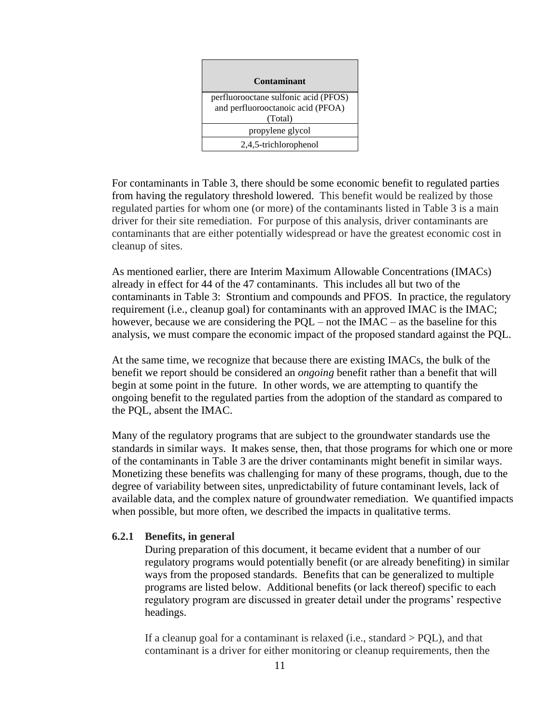| Contaminant                                                                          |
|--------------------------------------------------------------------------------------|
| perfluorooctane sulfonic acid (PFOS)<br>and perfluorooctanoic acid (PFOA)<br>(Total) |
| propylene glycol                                                                     |
| 2,4,5-trichlorophenol                                                                |

For contaminants in Table 3, there should be some economic benefit to regulated parties from having the regulatory threshold lowered. This benefit would be realized by those regulated parties for whom one (or more) of the contaminants listed in Table 3 is a main driver for their site remediation. For purpose of this analysis, driver contaminants are contaminants that are either potentially widespread or have the greatest economic cost in cleanup of sites.

As mentioned earlier, there are Interim Maximum Allowable Concentrations (IMACs) already in effect for 44 of the 47 contaminants. This includes all but two of the contaminants in Table 3: Strontium and compounds and PFOS. In practice, the regulatory requirement (i.e., cleanup goal) for contaminants with an approved IMAC is the IMAC; however, because we are considering the  $PQL - not$  the  $IMAC - as$  the baseline for this analysis, we must compare the economic impact of the proposed standard against the PQL.

At the same time, we recognize that because there are existing IMACs, the bulk of the benefit we report should be considered an *ongoing* benefit rather than a benefit that will begin at some point in the future. In other words, we are attempting to quantify the ongoing benefit to the regulated parties from the adoption of the standard as compared to the PQL, absent the IMAC.

Many of the regulatory programs that are subject to the groundwater standards use the standards in similar ways. It makes sense, then, that those programs for which one or more of the contaminants in Table 3 are the driver contaminants might benefit in similar ways. Monetizing these benefits was challenging for many of these programs, though, due to the degree of variability between sites, unpredictability of future contaminant levels, lack of available data, and the complex nature of groundwater remediation. We quantified impacts when possible, but more often, we described the impacts in qualitative terms.

### **6.2.1 Benefits, in general**

During preparation of this document, it became evident that a number of our regulatory programs would potentially benefit (or are already benefiting) in similar ways from the proposed standards. Benefits that can be generalized to multiple programs are listed below. Additional benefits (or lack thereof) specific to each regulatory program are discussed in greater detail under the programs' respective headings.

If a cleanup goal for a contaminant is relaxed (i.e., standard  $>$  PQL), and that contaminant is a driver for either monitoring or cleanup requirements, then the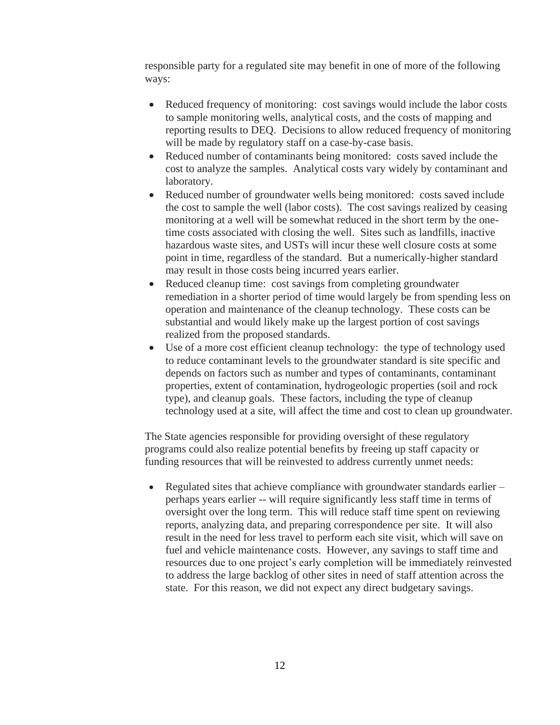responsible party for a regulated site may benefit in one of more of the following ways:

- Reduced frequency of monitoring: cost savings would include the labor costs to sample monitoring wells, analytical costs, and the costs of mapping and reporting results to DEQ. Decisions to allow reduced frequency of monitoring will be made by regulatory staff on a case-by-case basis.
- Reduced number of contaminants being monitored: costs saved include the cost to analyze the samples. Analytical costs vary widely by contaminant and laboratory.
- Reduced number of groundwater wells being monitored: costs saved include the cost to sample the well (labor costs). The cost savings realized by ceasing monitoring at a well will be somewhat reduced in the short term by the onetime costs associated with closing the well. Sites such as landfills, inactive hazardous waste sites, and USTs will incur these well closure costs at some point in time, regardless of the standard. But a numerically-higher standard may result in those costs being incurred years earlier.
- Reduced cleanup time: cost savings from completing groundwater remediation in a shorter period of time would largely be from spending less on operation and maintenance of the cleanup technology. These costs can be substantial and would likely make up the largest portion of cost savings realized from the proposed standards.
- Use of a more cost efficient cleanup technology: the type of technology used to reduce contaminant levels to the groundwater standard is site specific and depends on factors such as number and types of contaminants, contaminant properties, extent of contamination, hydrogeologic properties (soil and rock type), and cleanup goals. These factors, including the type of cleanup technology used at a site, will affect the time and cost to clean up groundwater.

The State agencies responsible for providing oversight of these regulatory programs could also realize potential benefits by freeing up staff capacity or funding resources that will be reinvested to address currently unmet needs:

• Regulated sites that achieve compliance with groundwater standards earlier – perhaps years earlier -- will require significantly less staff time in terms of oversight over the long term. This will reduce staff time spent on reviewing reports, analyzing data, and preparing correspondence per site. It will also result in the need for less travel to perform each site visit, which will save on fuel and vehicle maintenance costs. However, any savings to staff time and resources due to one project's early completion will be immediately reinvested to address the large backlog of other sites in need of staff attention across the state. For this reason, we did not expect any direct budgetary savings.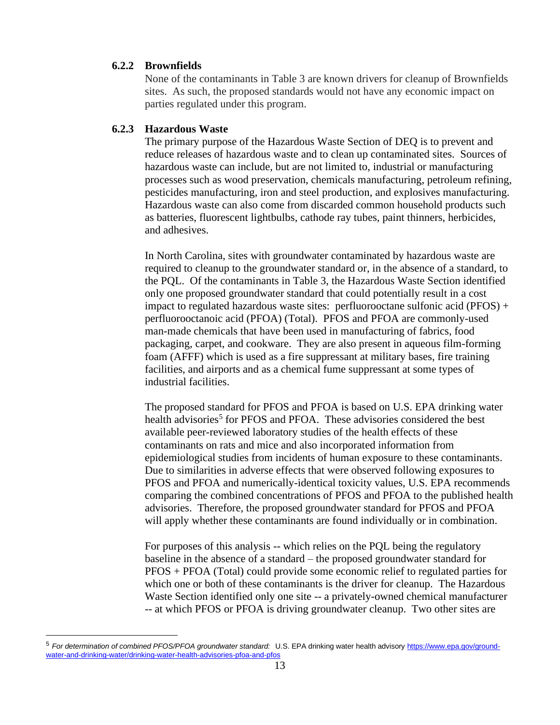### **6.2.2 Brownfields**

None of the contaminants in Table 3 are known drivers for cleanup of Brownfields sites. As such, the proposed standards would not have any economic impact on parties regulated under this program.

### **6.2.3 Hazardous Waste**

The primary purpose of the Hazardous Waste Section of DEQ is to prevent and reduce releases of hazardous waste and to clean up contaminated sites. Sources of hazardous waste can include, but are not limited to, industrial or manufacturing processes such as wood preservation, chemicals manufacturing, petroleum refining, pesticides manufacturing, iron and steel production, and explosives manufacturing. Hazardous waste can also come from discarded common household products such as batteries, fluorescent lightbulbs, cathode ray tubes, paint thinners, herbicides, and adhesives.

In North Carolina, sites with groundwater contaminated by hazardous waste are required to cleanup to the groundwater standard or, in the absence of a standard, to the PQL. Of the contaminants in Table 3, the Hazardous Waste Section identified only one proposed groundwater standard that could potentially result in a cost impact to regulated hazardous waste sites: perfluorococtane sulfonic acid ( $PFOS$ ) + perfluorooctanoic acid (PFOA) (Total). PFOS and PFOA are commonly-used man-made chemicals that have been used in manufacturing of fabrics, food packaging, carpet, and cookware. They are also present in aqueous film-forming foam (AFFF) which is used as a fire suppressant at military bases, fire training facilities, and airports and as a chemical fume suppressant at some types of industrial facilities.

The proposed standard for PFOS and PFOA is based on U.S. EPA drinking water health advisories<sup>5</sup> for PFOS and PFOA. These advisories considered the best available peer-reviewed laboratory studies of the health effects of these contaminants on rats and mice and also incorporated information from epidemiological studies from incidents of human exposure to these contaminants. Due to similarities in adverse effects that were observed following exposures to PFOS and PFOA and numerically-identical toxicity values, U.S. EPA recommends comparing the combined concentrations of PFOS and PFOA to the published health advisories. Therefore, the proposed groundwater standard for PFOS and PFOA will apply whether these contaminants are found individually or in combination.

For purposes of this analysis -- which relies on the PQL being the regulatory baseline in the absence of a standard – the proposed groundwater standard for PFOS + PFOA (Total) could provide some economic relief to regulated parties for which one or both of these contaminants is the driver for cleanup. The Hazardous Waste Section identified only one site -- a privately-owned chemical manufacturer -- at which PFOS or PFOA is driving groundwater cleanup. Two other sites are

<sup>5</sup> *For determination of combined PFOS/PFOA groundwater standard:* U.S. EPA drinking water health advisory [https://www.epa.gov/ground](https://www.epa.gov/ground-water-and-drinking-water/drinking-water-health-advisories-pfoa-and-pfos)[water-and-drinking-water/drinking-water-health-advisories-pfoa-and-pfos](https://www.epa.gov/ground-water-and-drinking-water/drinking-water-health-advisories-pfoa-and-pfos)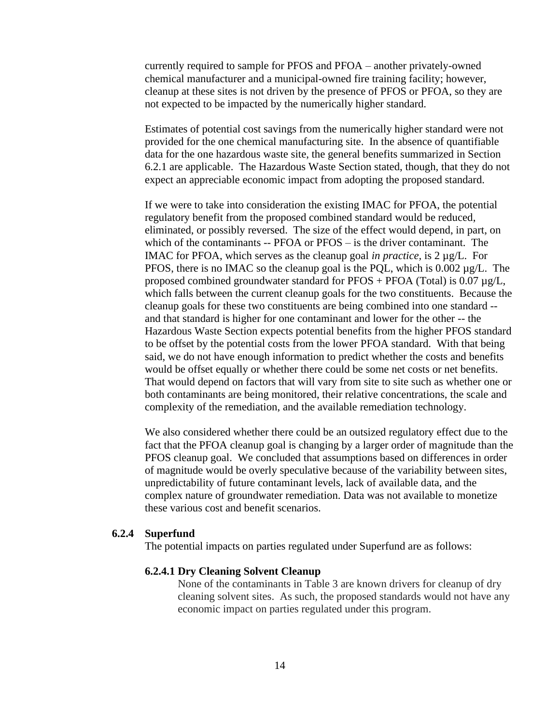currently required to sample for PFOS and PFOA – another privately-owned chemical manufacturer and a municipal-owned fire training facility; however, cleanup at these sites is not driven by the presence of PFOS or PFOA, so they are not expected to be impacted by the numerically higher standard.

Estimates of potential cost savings from the numerically higher standard were not provided for the one chemical manufacturing site. In the absence of quantifiable data for the one hazardous waste site, the general benefits summarized in Section 6.2.1 are applicable. The Hazardous Waste Section stated, though, that they do not expect an appreciable economic impact from adopting the proposed standard.

If we were to take into consideration the existing IMAC for PFOA, the potential regulatory benefit from the proposed combined standard would be reduced, eliminated, or possibly reversed. The size of the effect would depend, in part, on which of the contaminants -- PFOA or PFOS – is the driver contaminant. The IMAC for PFOA, which serves as the cleanup goal *in practice,* is 2 µg/L. For PFOS, there is no IMAC so the cleanup goal is the PQL, which is 0.002  $\mu$ g/L. The proposed combined groundwater standard for  $PFOS + PFOA$  (Total) is 0.07  $\mu$ g/L, which falls between the current cleanup goals for the two constituents. Because the cleanup goals for these two constituents are being combined into one standard - and that standard is higher for one contaminant and lower for the other -- the Hazardous Waste Section expects potential benefits from the higher PFOS standard to be offset by the potential costs from the lower PFOA standard. With that being said, we do not have enough information to predict whether the costs and benefits would be offset equally or whether there could be some net costs or net benefits. That would depend on factors that will vary from site to site such as whether one or both contaminants are being monitored, their relative concentrations, the scale and complexity of the remediation, and the available remediation technology.

We also considered whether there could be an outsized regulatory effect due to the fact that the PFOA cleanup goal is changing by a larger order of magnitude than the PFOS cleanup goal. We concluded that assumptions based on differences in order of magnitude would be overly speculative because of the variability between sites, unpredictability of future contaminant levels, lack of available data, and the complex nature of groundwater remediation. Data was not available to monetize these various cost and benefit scenarios.

### **6.2.4 Superfund**

The potential impacts on parties regulated under Superfund are as follows:

### **6.2.4.1 Dry Cleaning Solvent Cleanup**

None of the contaminants in Table 3 are known drivers for cleanup of dry cleaning solvent sites. As such, the proposed standards would not have any economic impact on parties regulated under this program.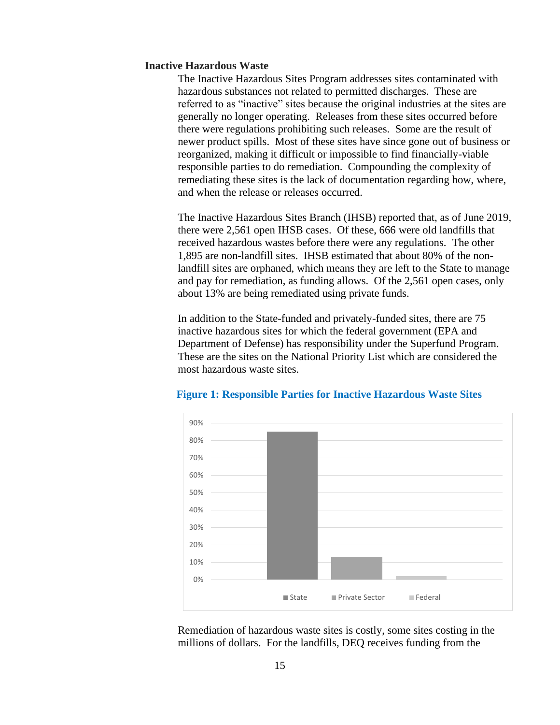### **Inactive Hazardous Waste**

The Inactive Hazardous Sites Program addresses sites contaminated with hazardous substances not related to permitted discharges. These are referred to as "inactive" sites because the original industries at the sites are generally no longer operating. Releases from these sites occurred before there were regulations prohibiting such releases. Some are the result of newer product spills. Most of these sites have since gone out of business or reorganized, making it difficult or impossible to find financially-viable responsible parties to do remediation. Compounding the complexity of remediating these sites is the lack of documentation regarding how, where, and when the release or releases occurred.

The Inactive Hazardous Sites Branch (IHSB) reported that, as of June 2019, there were 2,561 open IHSB cases. Of these, 666 were old landfills that received hazardous wastes before there were any regulations. The other 1,895 are non-landfill sites. IHSB estimated that about 80% of the nonlandfill sites are orphaned, which means they are left to the State to manage and pay for remediation, as funding allows. Of the 2,561 open cases, only about 13% are being remediated using private funds.

In addition to the State-funded and privately-funded sites, there are 75 inactive hazardous sites for which the federal government (EPA and Department of Defense) has responsibility under the Superfund Program. These are the sites on the National Priority List which are considered the most hazardous waste sites.



#### **Figure 1: Responsible Parties for Inactive Hazardous Waste Sites**

Remediation of hazardous waste sites is costly, some sites costing in the millions of dollars. For the landfills, DEQ receives funding from the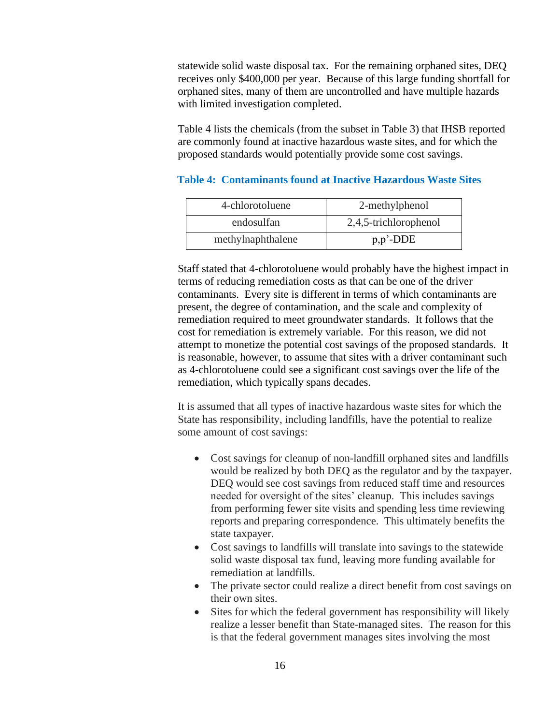statewide solid waste disposal tax. For the remaining orphaned sites, DEQ receives only \$400,000 per year. Because of this large funding shortfall for orphaned sites, many of them are uncontrolled and have multiple hazards with limited investigation completed.

Table 4 lists the chemicals (from the subset in Table 3) that IHSB reported are commonly found at inactive hazardous waste sites, and for which the proposed standards would potentially provide some cost savings.

| 4-chlorotoluene   | 2-methylphenol        |
|-------------------|-----------------------|
| endosulfan        | 2,4,5-trichlorophenol |
| methylnaphthalene | $p, p'$ -DDE          |

# **Table 4: Contaminants found at Inactive Hazardous Waste Sites**

Staff stated that 4-chlorotoluene would probably have the highest impact in terms of reducing remediation costs as that can be one of the driver contaminants. Every site is different in terms of which contaminants are present, the degree of contamination, and the scale and complexity of remediation required to meet groundwater standards. It follows that the cost for remediation is extremely variable. For this reason, we did not attempt to monetize the potential cost savings of the proposed standards. It is reasonable, however, to assume that sites with a driver contaminant such as 4-chlorotoluene could see a significant cost savings over the life of the remediation, which typically spans decades.

It is assumed that all types of inactive hazardous waste sites for which the State has responsibility, including landfills, have the potential to realize some amount of cost savings:

- Cost savings for cleanup of non-landfill orphaned sites and landfills would be realized by both DEQ as the regulator and by the taxpayer. DEQ would see cost savings from reduced staff time and resources needed for oversight of the sites' cleanup. This includes savings from performing fewer site visits and spending less time reviewing reports and preparing correspondence. This ultimately benefits the state taxpayer.
- Cost savings to landfills will translate into savings to the statewide solid waste disposal tax fund, leaving more funding available for remediation at landfills.
- The private sector could realize a direct benefit from cost savings on their own sites.
- Sites for which the federal government has responsibility will likely realize a lesser benefit than State-managed sites. The reason for this is that the federal government manages sites involving the most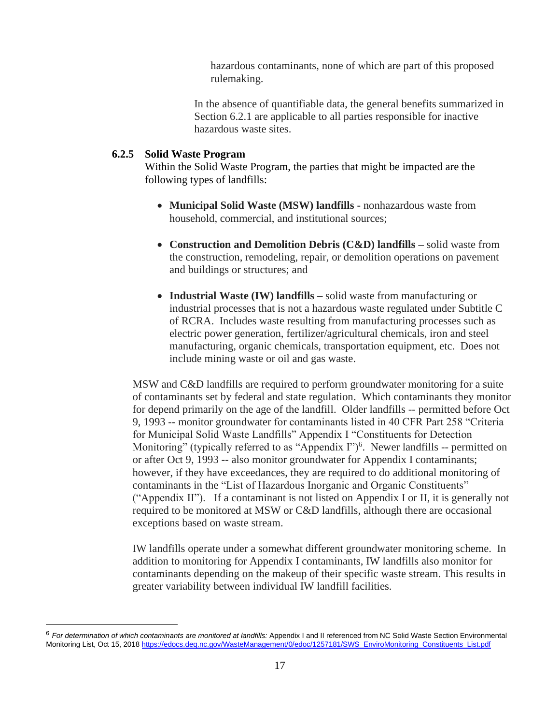hazardous contaminants, none of which are part of this proposed rulemaking.

In the absence of quantifiable data, the general benefits summarized in Section 6.2.1 are applicable to all parties responsible for inactive hazardous waste sites.

# **6.2.5 Solid Waste Program**

Within the Solid Waste Program, the parties that might be impacted are the following types of landfills:

- **Municipal Solid Waste (MSW) landfills -** nonhazardous waste from household, commercial, and institutional sources;
- **Construction and Demolition Debris (C&D) landfills –** solid waste from the construction, remodeling, repair, or demolition operations on pavement and buildings or structures; and
- **Industrial Waste (IW) landfills –** solid waste from manufacturing or industrial processes that is not a hazardous waste regulated under Subtitle C of RCRA. Includes waste resulting from manufacturing processes such as electric power generation, fertilizer/agricultural chemicals, iron and steel manufacturing, organic chemicals, transportation equipment, etc. Does not include mining waste or oil and gas waste.

MSW and C&D landfills are required to perform groundwater monitoring for a suite of contaminants set by federal and state regulation. Which contaminants they monitor for depend primarily on the age of the landfill. Older landfills -- permitted before Oct 9, 1993 -- monitor groundwater for contaminants listed in 40 CFR Part 258 "Criteria for Municipal Solid Waste Landfills" Appendix I "Constituents for Detection Monitoring" (typically referred to as "Appendix  $\Gamma$ ")<sup>6</sup>. Newer landfills -- permitted on or after Oct 9, 1993 -- also monitor groundwater for Appendix I contaminants; however, if they have exceedances, they are required to do additional monitoring of contaminants in the "List of Hazardous Inorganic and Organic Constituents" ("Appendix II"). If a contaminant is not listed on Appendix I or II, it is generally not required to be monitored at MSW or C&D landfills, although there are occasional exceptions based on waste stream.

IW landfills operate under a somewhat different groundwater monitoring scheme. In addition to monitoring for Appendix I contaminants, IW landfills also monitor for contaminants depending on the makeup of their specific waste stream. This results in greater variability between individual IW landfill facilities.

<sup>6</sup> *For determination of which contaminants are monitored at landfills:* Appendix I and II referenced from NC Solid Waste Section Environmental Monitoring List, Oct 15, 2018 [https://edocs.deq.nc.gov/WasteManagement/0/edoc/1257181/SWS\\_EnviroMonitoring\\_Constituents\\_List.pdf](https://edocs.deq.nc.gov/WasteManagement/0/edoc/1257181/SWS_EnviroMonitoring_Constituents_List.pdf)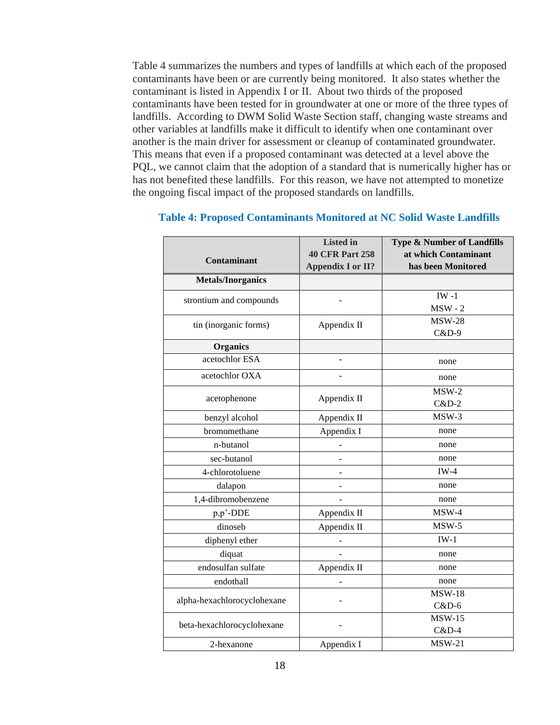Table 4 summarizes the numbers and types of landfills at which each of the proposed contaminants have been or are currently being monitored. It also states whether the contaminant is listed in Appendix I or II. About two thirds of the proposed contaminants have been tested for in groundwater at one or more of the three types of landfills. According to DWM Solid Waste Section staff, changing waste streams and other variables at landfills make it difficult to identify when one contaminant over another is the main driver for assessment or cleanup of contaminated groundwater. This means that even if a proposed contaminant was detected at a level above the PQL, we cannot claim that the adoption of a standard that is numerically higher has or has not benefited these landfills. For this reason, we have not attempted to monetize the ongoing fiscal impact of the proposed standards on landfills.

|                             | <b>Listed</b> in         | <b>Type &amp; Number of Landfills</b> |
|-----------------------------|--------------------------|---------------------------------------|
| <b>Contaminant</b>          | <b>40 CFR Part 258</b>   | at which Contaminant                  |
|                             | <b>Appendix I or II?</b> | has been Monitored                    |
| <b>Metals/Inorganics</b>    |                          |                                       |
| strontium and compounds     |                          | $IW -1$                               |
|                             |                          | $MSW - 2$                             |
| tin (inorganic forms)       | Appendix II              | <b>MSW-28</b>                         |
|                             |                          | C&D-9                                 |
| <b>Organics</b>             |                          |                                       |
| acetochlor ESA              | $\overline{a}$           | none                                  |
| acetochlor OXA              |                          | none                                  |
|                             |                          | $MSW-2$                               |
| acetophenone                | Appendix II              | $C&D-2$                               |
| benzyl alcohol              | Appendix II              | $MSW-3$                               |
| bromomethane                | Appendix I               | none                                  |
| n-butanol                   |                          | none                                  |
| sec-butanol                 |                          | none                                  |
| 4-chlorotoluene             |                          | $IW-4$                                |
| dalapon                     |                          | none                                  |
| 1,4-dibromobenzene          |                          | none                                  |
| p,p'-DDE                    | Appendix II              | $MSW-4$                               |
| dinoseb                     | Appendix II              | $MSW-5$                               |
| diphenyl ether              |                          | $IW-1$                                |
| diquat                      |                          | none                                  |
| endosulfan sulfate          | Appendix II              | none                                  |
| endothall                   |                          | none                                  |
|                             |                          | <b>MSW-18</b>                         |
| alpha-hexachlorocyclohexane |                          | $C&D-6$                               |
| beta-hexachlorocyclohexane  |                          | $MSW-15$                              |
|                             |                          | $C&D-4$                               |
| 2-hexanone                  | Appendix I               | $MSW-21$                              |

### **Table 4: Proposed Contaminants Monitored at NC Solid Waste Landfills**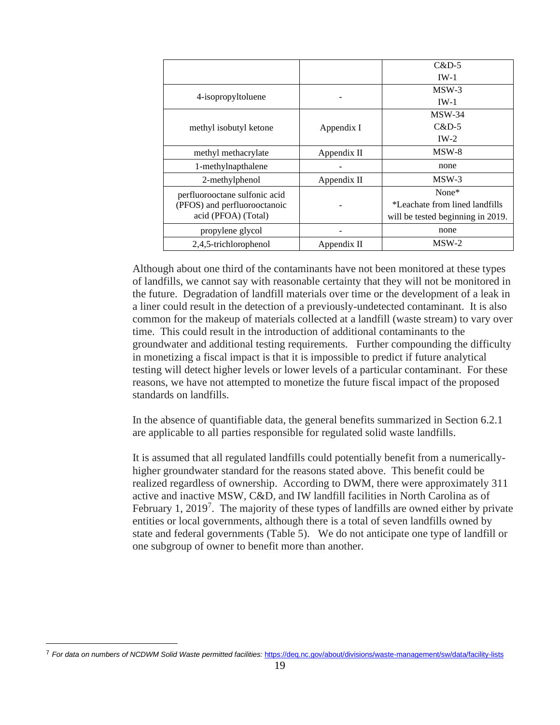|                               |             | $C&D-5$                           |
|-------------------------------|-------------|-----------------------------------|
|                               |             | $IW-1$                            |
|                               |             | $MSW-3$                           |
| 4-isopropyltoluene            |             | $IW-1$                            |
|                               |             | $MSW-34$                          |
| methyl isobutyl ketone        | Appendix I  | $C&D-5$                           |
|                               |             | $IW-2$                            |
| methyl methacrylate           | Appendix II | MSW-8                             |
| 1-methylnapthalene            |             | none                              |
| 2-methylphenol                | Appendix II | $MSW-3$                           |
| perfluorooctane sulfonic acid |             | None*                             |
| (PFOS) and perfluorooctanoic  |             | *Leachate from lined landfills    |
| acid (PFOA) (Total)           |             | will be tested beginning in 2019. |
| propylene glycol              |             | none                              |
| 2,4,5-trichlorophenol         | Appendix II | $MSW-2$                           |

Although about one third of the contaminants have not been monitored at these types of landfills, we cannot say with reasonable certainty that they will not be monitored in the future. Degradation of landfill materials over time or the development of a leak in a liner could result in the detection of a previously-undetected contaminant. It is also common for the makeup of materials collected at a landfill (waste stream) to vary over time. This could result in the introduction of additional contaminants to the groundwater and additional testing requirements. Further compounding the difficulty in monetizing a fiscal impact is that it is impossible to predict if future analytical testing will detect higher levels or lower levels of a particular contaminant. For these reasons, we have not attempted to monetize the future fiscal impact of the proposed standards on landfills.

In the absence of quantifiable data, the general benefits summarized in Section 6.2.1 are applicable to all parties responsible for regulated solid waste landfills.

It is assumed that all regulated landfills could potentially benefit from a numericallyhigher groundwater standard for the reasons stated above. This benefit could be realized regardless of ownership. According to DWM, there were approximately 311 active and inactive MSW, C&D, and IW landfill facilities in North Carolina as of February 1, 2019<sup>7</sup>. The majority of these types of landfills are owned either by private entities or local governments, although there is a total of seven landfills owned by state and federal governments (Table 5). We do not anticipate one type of landfill or one subgroup of owner to benefit more than another.

<sup>7</sup> *For data on numbers of NCDWM Solid Waste permitted facilities:* <https://deq.nc.gov/about/divisions/waste-management/sw/data/facility-lists>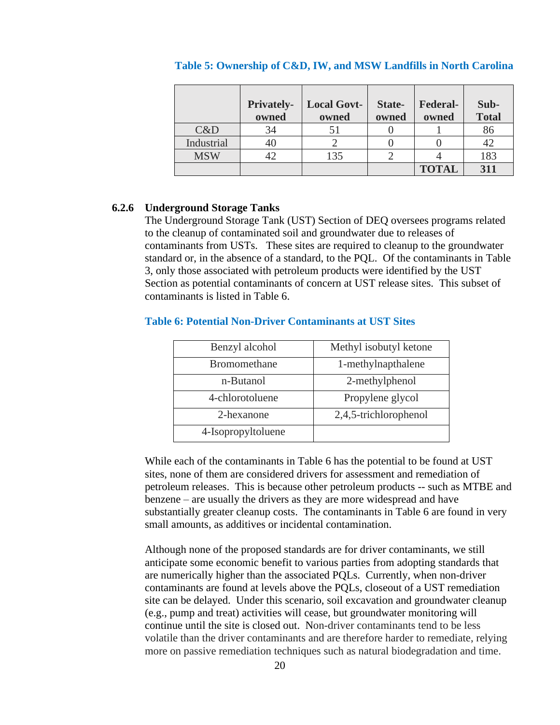|            | <b>Privately-</b><br>owned | <b>Local Govt-</b><br>owned | State-<br>owned | <b>Federal-</b><br>owned | Sub-<br><b>Total</b> |
|------------|----------------------------|-----------------------------|-----------------|--------------------------|----------------------|
| C&D        | 34                         |                             |                 |                          | 86                   |
| Industrial |                            |                             |                 |                          |                      |
| <b>MSW</b> |                            | 135                         |                 |                          | 183                  |
|            |                            |                             |                 | <b>TOTAL</b>             | 311                  |

#### **Table 5: Ownership of C&D, IW, and MSW Landfills in North Carolina**

#### **6.2.6 Underground Storage Tanks**

The Underground Storage Tank (UST) Section of DEQ oversees programs related to the cleanup of contaminated soil and groundwater due to releases of contaminants from USTs. These sites are required to cleanup to the groundwater standard or, in the absence of a standard, to the PQL. Of the contaminants in Table 3, only those associated with petroleum products were identified by the UST Section as potential contaminants of concern at UST release sites. This subset of contaminants is listed in Table 6.

| Benzyl alcohol      | Methyl isobutyl ketone |
|---------------------|------------------------|
| <b>Bromomethane</b> | 1-methylnapthalene     |
| n-Butanol           | 2-methylphenol         |
| 4-chlorotoluene     | Propylene glycol       |
| 2-hexanone          | 2,4,5-trichlorophenol  |
| 4-Isopropyltoluene  |                        |

#### **Table 6: Potential Non-Driver Contaminants at UST Sites**

While each of the contaminants in Table 6 has the potential to be found at UST sites, none of them are considered drivers for assessment and remediation of petroleum releases. This is because other petroleum products -- such as MTBE and benzene – are usually the drivers as they are more widespread and have substantially greater cleanup costs. The contaminants in Table 6 are found in very small amounts, as additives or incidental contamination.

Although none of the proposed standards are for driver contaminants, we still anticipate some economic benefit to various parties from adopting standards that are numerically higher than the associated PQLs. Currently, when non-driver contaminants are found at levels above the PQLs, closeout of a UST remediation site can be delayed. Under this scenario, soil excavation and groundwater cleanup (e.g., pump and treat) activities will cease, but groundwater monitoring will continue until the site is closed out. Non-driver contaminants tend to be less volatile than the driver contaminants and are therefore harder to remediate, relying more on passive remediation techniques such as natural biodegradation and time.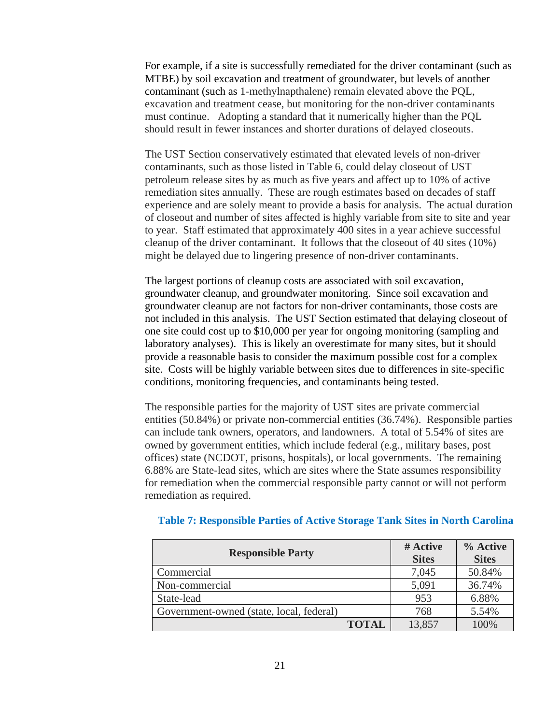For example, if a site is successfully remediated for the driver contaminant (such as MTBE) by soil excavation and treatment of groundwater, but levels of another contaminant (such as 1-methylnapthalene) remain elevated above the PQL, excavation and treatment cease, but monitoring for the non-driver contaminants must continue. Adopting a standard that it numerically higher than the PQL should result in fewer instances and shorter durations of delayed closeouts.

The UST Section conservatively estimated that elevated levels of non-driver contaminants, such as those listed in Table 6, could delay closeout of UST petroleum release sites by as much as five years and affect up to 10% of active remediation sites annually. These are rough estimates based on decades of staff experience and are solely meant to provide a basis for analysis. The actual duration of closeout and number of sites affected is highly variable from site to site and year to year. Staff estimated that approximately 400 sites in a year achieve successful cleanup of the driver contaminant. It follows that the closeout of 40 sites (10%) might be delayed due to lingering presence of non-driver contaminants.

The largest portions of cleanup costs are associated with soil excavation, groundwater cleanup, and groundwater monitoring. Since soil excavation and groundwater cleanup are not factors for non-driver contaminants, those costs are not included in this analysis. The UST Section estimated that delaying closeout of one site could cost up to \$10,000 per year for ongoing monitoring (sampling and laboratory analyses). This is likely an overestimate for many sites, but it should provide a reasonable basis to consider the maximum possible cost for a complex site. Costs will be highly variable between sites due to differences in site-specific conditions, monitoring frequencies, and contaminants being tested.

The responsible parties for the majority of UST sites are private commercial entities (50.84%) or private non-commercial entities (36.74%). Responsible parties can include tank owners, operators, and landowners. A total of 5.54% of sites are owned by government entities, which include federal (e.g., military bases, post offices) state (NCDOT, prisons, hospitals), or local governments. The remaining 6.88% are State-lead sites, which are sites where the State assumes responsibility for remediation when the commercial responsible party cannot or will not perform remediation as required.

| <b>Responsible Party</b>                 | # Active<br><b>Sites</b> | % Active<br><b>Sites</b> |
|------------------------------------------|--------------------------|--------------------------|
| Commercial                               | 7,045                    | 50.84%                   |
| Non-commercial                           | 5,091                    | 36.74%                   |
| State-lead                               | 953                      | 6.88%                    |
| Government-owned (state, local, federal) | 768                      | 5.54%                    |
| <b>TOTAL</b>                             | 13.857                   | 100%                     |

### **Table 7: Responsible Parties of Active Storage Tank Sites in North Carolina**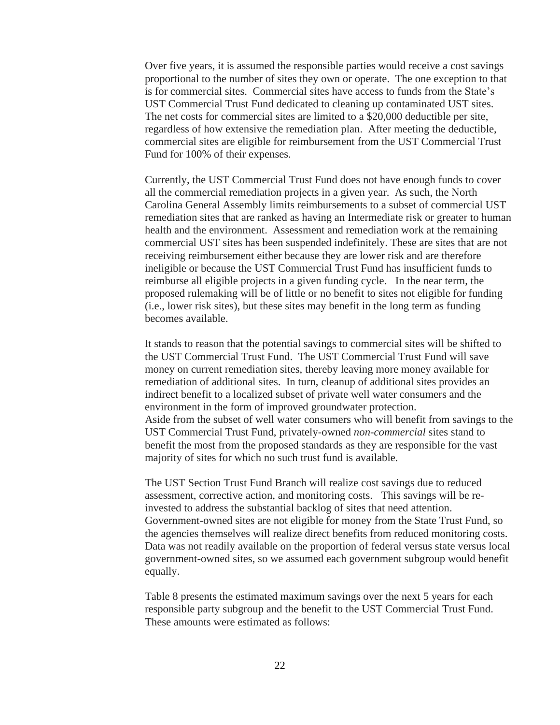Over five years, it is assumed the responsible parties would receive a cost savings proportional to the number of sites they own or operate. The one exception to that is for commercial sites. Commercial sites have access to funds from the State's UST Commercial Trust Fund dedicated to cleaning up contaminated UST sites. The net costs for commercial sites are limited to a \$20,000 deductible per site, regardless of how extensive the remediation plan. After meeting the deductible, commercial sites are eligible for reimbursement from the UST Commercial Trust Fund for 100% of their expenses.

Currently, the UST Commercial Trust Fund does not have enough funds to cover all the commercial remediation projects in a given year. As such, the North Carolina General Assembly limits reimbursements to a subset of commercial UST remediation sites that are ranked as having an Intermediate risk or greater to human health and the environment. Assessment and remediation work at the remaining commercial UST sites has been suspended indefinitely. These are sites that are not receiving reimbursement either because they are lower risk and are therefore ineligible or because the UST Commercial Trust Fund has insufficient funds to reimburse all eligible projects in a given funding cycle. In the near term, the proposed rulemaking will be of little or no benefit to sites not eligible for funding (i.e., lower risk sites), but these sites may benefit in the long term as funding becomes available.

It stands to reason that the potential savings to commercial sites will be shifted to the UST Commercial Trust Fund. The UST Commercial Trust Fund will save money on current remediation sites, thereby leaving more money available for remediation of additional sites. In turn, cleanup of additional sites provides an indirect benefit to a localized subset of private well water consumers and the environment in the form of improved groundwater protection. Aside from the subset of well water consumers who will benefit from savings to the UST Commercial Trust Fund, privately-owned *non-commercial* sites stand to benefit the most from the proposed standards as they are responsible for the vast majority of sites for which no such trust fund is available.

The UST Section Trust Fund Branch will realize cost savings due to reduced assessment, corrective action, and monitoring costs. This savings will be reinvested to address the substantial backlog of sites that need attention. Government-owned sites are not eligible for money from the State Trust Fund, so the agencies themselves will realize direct benefits from reduced monitoring costs. Data was not readily available on the proportion of federal versus state versus local government-owned sites, so we assumed each government subgroup would benefit equally.

Table 8 presents the estimated maximum savings over the next 5 years for each responsible party subgroup and the benefit to the UST Commercial Trust Fund. These amounts were estimated as follows: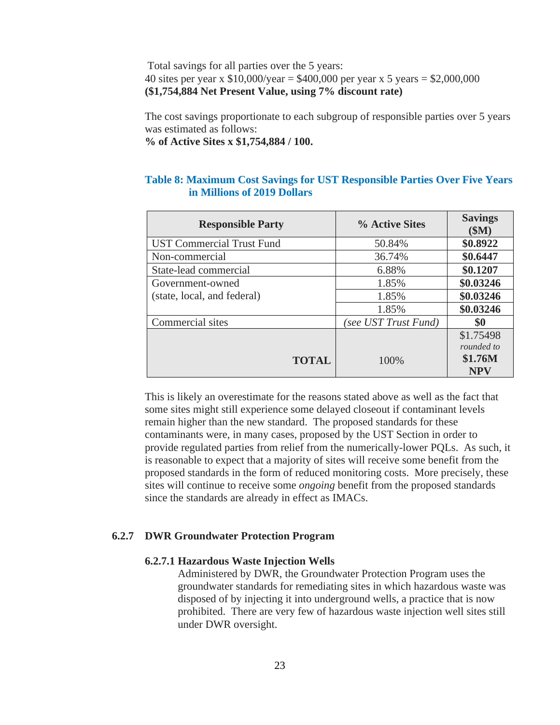Total savings for all parties over the 5 years: 40 sites per year x  $$10,000/year = $400,000$  per year x 5 years = \$2,000,000 **(\$1,754,884 Net Present Value, using 7% discount rate)**

The cost savings proportionate to each subgroup of responsible parties over 5 years was estimated as follows:

**% of Active Sites x \$1,754,884 / 100.**

### **Table 8: Maximum Cost Savings for UST Responsible Parties Over Five Years in Millions of 2019 Dollars**

| <b>Responsible Party</b>         | % Active Sites       | <b>Savings</b><br>\$M\$                          |
|----------------------------------|----------------------|--------------------------------------------------|
| <b>UST Commercial Trust Fund</b> | 50.84%               | \$0.8922                                         |
| Non-commercial                   | 36.74%               | \$0.6447                                         |
| State-lead commercial            | 6.88%                | \$0.1207                                         |
| Government-owned                 | 1.85%                | \$0.03246                                        |
| (state, local, and federal)      | 1.85%                | \$0.03246                                        |
|                                  | 1.85%                | \$0.03246                                        |
| Commercial sites                 | (see UST Trust Fund) | \$0                                              |
| <b>TOTAL</b>                     | 100%                 | \$1.75498<br>rounded to<br>\$1.76M<br><b>NPV</b> |

This is likely an overestimate for the reasons stated above as well as the fact that some sites might still experience some delayed closeout if contaminant levels remain higher than the new standard. The proposed standards for these contaminants were, in many cases, proposed by the UST Section in order to provide regulated parties from relief from the numerically-lower PQLs. As such, it is reasonable to expect that a majority of sites will receive some benefit from the proposed standards in the form of reduced monitoring costs. More precisely, these sites will continue to receive some *ongoing* benefit from the proposed standards since the standards are already in effect as IMACs.

## **6.2.7 DWR Groundwater Protection Program**

### **6.2.7.1 Hazardous Waste Injection Wells**

Administered by DWR, the Groundwater Protection Program uses the groundwater standards for remediating sites in which hazardous waste was disposed of by injecting it into underground wells, a practice that is now prohibited. There are very few of hazardous waste injection well sites still under DWR oversight.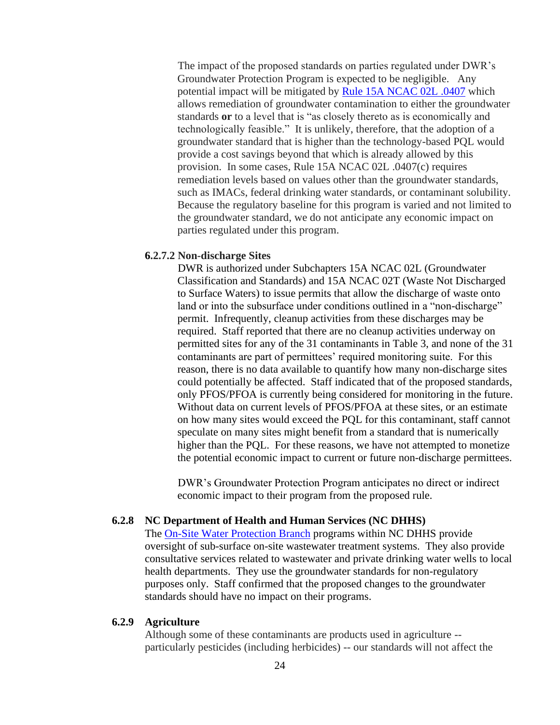The impact of the proposed standards on parties regulated under DWR's Groundwater Protection Program is expected to be negligible. Any potential impact will be mitigated by [Rule 15A NCAC 02L .0407](http://reports.oah.state.nc.us/ncac/title%2015a%20-%20environmental%20quality/chapter%2002%20-%20environmental%20management/subchapter%20l/15a%20ncac%2002l%20.0407.pdf) which allows remediation of groundwater contamination to either the groundwater standards **or** to a level that is "as closely thereto as is economically and technologically feasible." It is unlikely, therefore, that the adoption of a groundwater standard that is higher than the technology-based PQL would provide a cost savings beyond that which is already allowed by this provision. In some cases, Rule 15A NCAC 02L .0407(c) requires remediation levels based on values other than the groundwater standards, such as IMACs, federal drinking water standards, or contaminant solubility. Because the regulatory baseline for this program is varied and not limited to the groundwater standard, we do not anticipate any economic impact on parties regulated under this program.

### **6.2.7.2 Non-discharge Sites**

DWR is authorized under Subchapters 15A NCAC 02L (Groundwater Classification and Standards) and 15A NCAC 02T (Waste Not Discharged to Surface Waters) to issue permits that allow the discharge of waste onto land or into the subsurface under conditions outlined in a "non-discharge" permit. Infrequently, cleanup activities from these discharges may be required. Staff reported that there are no cleanup activities underway on permitted sites for any of the 31 contaminants in Table 3, and none of the 31 contaminants are part of permittees' required monitoring suite. For this reason, there is no data available to quantify how many non-discharge sites could potentially be affected. Staff indicated that of the proposed standards, only PFOS/PFOA is currently being considered for monitoring in the future. Without data on current levels of PFOS/PFOA at these sites, or an estimate on how many sites would exceed the PQL for this contaminant, staff cannot speculate on many sites might benefit from a standard that is numerically higher than the PQL. For these reasons, we have not attempted to monetize the potential economic impact to current or future non-discharge permittees.

DWR's Groundwater Protection Program anticipates no direct or indirect economic impact to their program from the proposed rule.

## **6.2.8 NC Department of Health and Human Services (NC DHHS)**

The [On-Site Water Protection Branch](https://ehs.ncpublichealth.com/oswp/) programs within NC DHHS provide oversight of sub-surface on-site wastewater treatment systems. They also provide consultative services related to wastewater and private drinking water wells to local health departments. They use the groundwater standards for non-regulatory purposes only. Staff confirmed that the proposed changes to the groundwater standards should have no impact on their programs.

### **6.2.9 Agriculture**

Although some of these contaminants are products used in agriculture - particularly pesticides (including herbicides) -- our standards will not affect the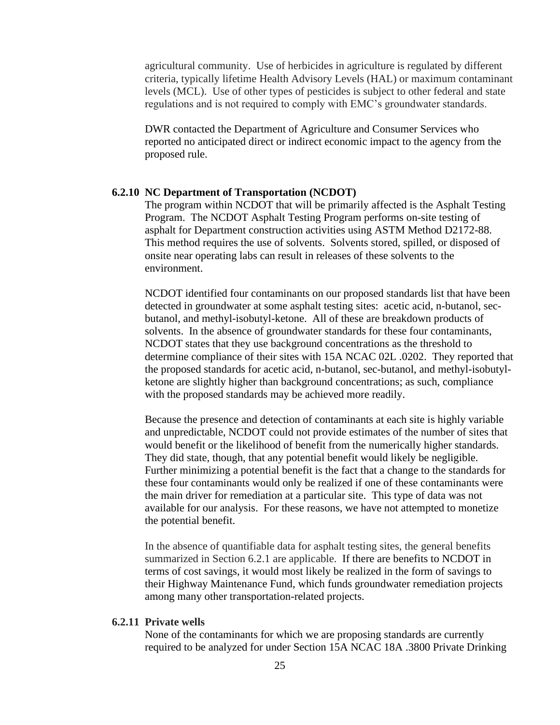agricultural community. Use of herbicides in agriculture is regulated by different criteria, typically lifetime Health Advisory Levels (HAL) or maximum contaminant levels (MCL). Use of other types of pesticides is subject to other federal and state regulations and is not required to comply with EMC's groundwater standards.

DWR contacted the Department of Agriculture and Consumer Services who reported no anticipated direct or indirect economic impact to the agency from the proposed rule.

### **6.2.10 NC Department of Transportation (NCDOT)**

The program within NCDOT that will be primarily affected is the Asphalt Testing Program. The NCDOT Asphalt Testing Program performs on-site testing of asphalt for Department construction activities using ASTM Method D2172-88. This method requires the use of solvents. Solvents stored, spilled, or disposed of onsite near operating labs can result in releases of these solvents to the environment.

NCDOT identified four contaminants on our proposed standards list that have been detected in groundwater at some asphalt testing sites: acetic acid, n-butanol, secbutanol, and methyl-isobutyl-ketone. All of these are breakdown products of solvents. In the absence of groundwater standards for these four contaminants, NCDOT states that they use background concentrations as the threshold to determine compliance of their sites with 15A NCAC 02L .0202. They reported that the proposed standards for acetic acid, n-butanol, sec-butanol, and methyl-isobutylketone are slightly higher than background concentrations; as such, compliance with the proposed standards may be achieved more readily.

Because the presence and detection of contaminants at each site is highly variable and unpredictable, NCDOT could not provide estimates of the number of sites that would benefit or the likelihood of benefit from the numerically higher standards. They did state, though, that any potential benefit would likely be negligible. Further minimizing a potential benefit is the fact that a change to the standards for these four contaminants would only be realized if one of these contaminants were the main driver for remediation at a particular site. This type of data was not available for our analysis. For these reasons, we have not attempted to monetize the potential benefit.

In the absence of quantifiable data for asphalt testing sites, the general benefits summarized in Section 6.2.1 are applicable. If there are benefits to NCDOT in terms of cost savings, it would most likely be realized in the form of savings to their Highway Maintenance Fund, which funds groundwater remediation projects among many other transportation-related projects.

### **6.2.11 Private wells**

None of the contaminants for which we are proposing standards are currently required to be analyzed for under Section 15A NCAC 18A .3800 Private Drinking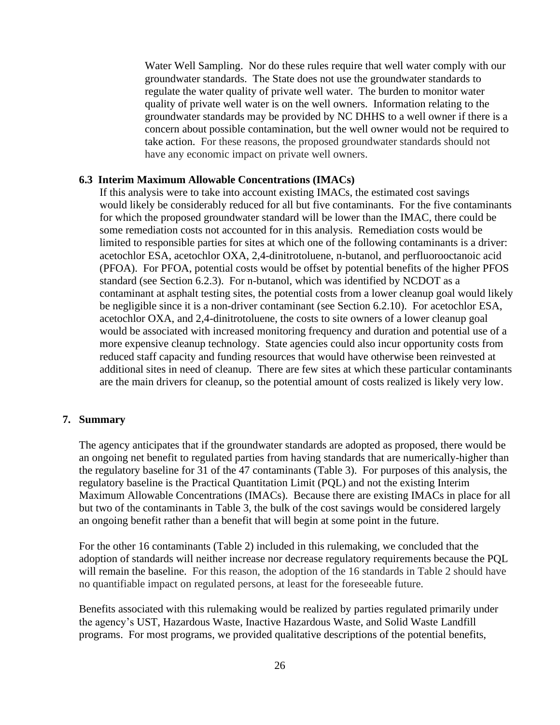Water Well Sampling. Nor do these rules require that well water comply with our groundwater standards. The State does not use the groundwater standards to regulate the water quality of private well water. The burden to monitor water quality of private well water is on the well owners. Information relating to the groundwater standards may be provided by NC DHHS to a well owner if there is a concern about possible contamination, but the well owner would not be required to take action. For these reasons, the proposed groundwater standards should not have any economic impact on private well owners.

#### **6.3 Interim Maximum Allowable Concentrations (IMACs)**

If this analysis were to take into account existing IMACs, the estimated cost savings would likely be considerably reduced for all but five contaminants. For the five contaminants for which the proposed groundwater standard will be lower than the IMAC, there could be some remediation costs not accounted for in this analysis. Remediation costs would be limited to responsible parties for sites at which one of the following contaminants is a driver: acetochlor ESA, acetochlor OXA, 2,4-dinitrotoluene, n-butanol, and perfluorooctanoic acid (PFOA). For PFOA, potential costs would be offset by potential benefits of the higher PFOS standard (see Section 6.2.3). For n-butanol, which was identified by NCDOT as a contaminant at asphalt testing sites, the potential costs from a lower cleanup goal would likely be negligible since it is a non-driver contaminant (see Section 6.2.10). For acetochlor ESA, acetochlor OXA, and 2,4-dinitrotoluene, the costs to site owners of a lower cleanup goal would be associated with increased monitoring frequency and duration and potential use of a more expensive cleanup technology. State agencies could also incur opportunity costs from reduced staff capacity and funding resources that would have otherwise been reinvested at additional sites in need of cleanup. There are few sites at which these particular contaminants are the main drivers for cleanup, so the potential amount of costs realized is likely very low.

### **7. Summary**

The agency anticipates that if the groundwater standards are adopted as proposed, there would be an ongoing net benefit to regulated parties from having standards that are numerically-higher than the regulatory baseline for 31 of the 47 contaminants (Table 3). For purposes of this analysis, the regulatory baseline is the Practical Quantitation Limit (PQL) and not the existing Interim Maximum Allowable Concentrations (IMACs). Because there are existing IMACs in place for all but two of the contaminants in Table 3, the bulk of the cost savings would be considered largely an ongoing benefit rather than a benefit that will begin at some point in the future.

For the other 16 contaminants (Table 2) included in this rulemaking, we concluded that the adoption of standards will neither increase nor decrease regulatory requirements because the PQL will remain the baseline. For this reason, the adoption of the 16 standards in Table 2 should have no quantifiable impact on regulated persons, at least for the foreseeable future.

Benefits associated with this rulemaking would be realized by parties regulated primarily under the agency's UST, Hazardous Waste, Inactive Hazardous Waste, and Solid Waste Landfill programs. For most programs, we provided qualitative descriptions of the potential benefits,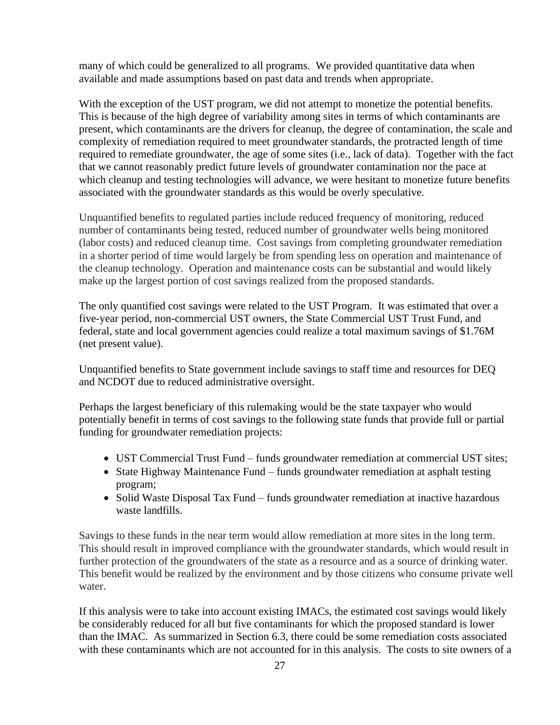many of which could be generalized to all programs. We provided quantitative data when available and made assumptions based on past data and trends when appropriate.

With the exception of the UST program, we did not attempt to monetize the potential benefits. This is because of the high degree of variability among sites in terms of which contaminants are present, which contaminants are the drivers for cleanup, the degree of contamination, the scale and complexity of remediation required to meet groundwater standards, the protracted length of time required to remediate groundwater, the age of some sites (i.e., lack of data). Together with the fact that we cannot reasonably predict future levels of groundwater contamination nor the pace at which cleanup and testing technologies will advance, we were hesitant to monetize future benefits associated with the groundwater standards as this would be overly speculative.

Unquantified benefits to regulated parties include reduced frequency of monitoring, reduced number of contaminants being tested, reduced number of groundwater wells being monitored (labor costs) and reduced cleanup time. Cost savings from completing groundwater remediation in a shorter period of time would largely be from spending less on operation and maintenance of the cleanup technology. Operation and maintenance costs can be substantial and would likely make up the largest portion of cost savings realized from the proposed standards.

The only quantified cost savings were related to the UST Program. It was estimated that over a five-year period, non-commercial UST owners, the State Commercial UST Trust Fund, and federal, state and local government agencies could realize a total maximum savings of \$1.76M (net present value).

Unquantified benefits to State government include savings to staff time and resources for DEQ and NCDOT due to reduced administrative oversight.

Perhaps the largest beneficiary of this rulemaking would be the state taxpayer who would potentially benefit in terms of cost savings to the following state funds that provide full or partial funding for groundwater remediation projects:

- UST Commercial Trust Fund funds groundwater remediation at commercial UST sites;
- State Highway Maintenance Fund funds groundwater remediation at asphalt testing program;
- Solid Waste Disposal Tax Fund funds groundwater remediation at inactive hazardous waste landfills.

Savings to these funds in the near term would allow remediation at more sites in the long term. This should result in improved compliance with the groundwater standards, which would result in further protection of the groundwaters of the state as a resource and as a source of drinking water. This benefit would be realized by the environment and by those citizens who consume private well water.

If this analysis were to take into account existing IMACs, the estimated cost savings would likely be considerably reduced for all but five contaminants for which the proposed standard is lower than the IMAC. As summarized in Section 6.3, there could be some remediation costs associated with these contaminants which are not accounted for in this analysis. The costs to site owners of a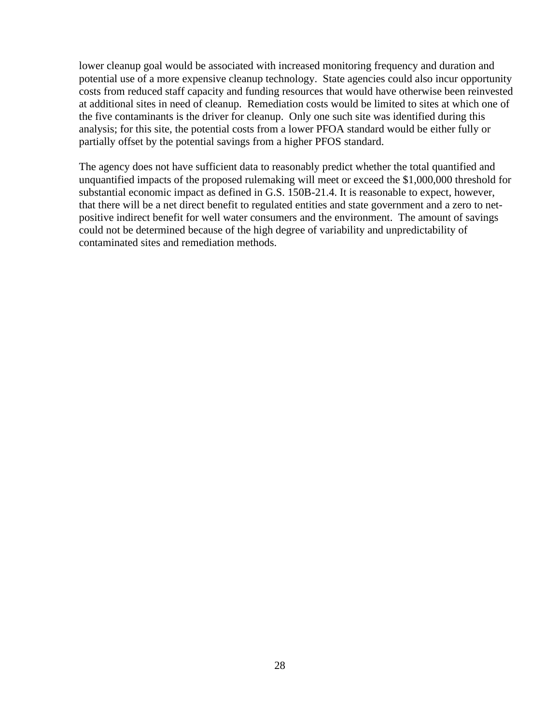lower cleanup goal would be associated with increased monitoring frequency and duration and potential use of a more expensive cleanup technology. State agencies could also incur opportunity costs from reduced staff capacity and funding resources that would have otherwise been reinvested at additional sites in need of cleanup. Remediation costs would be limited to sites at which one of the five contaminants is the driver for cleanup. Only one such site was identified during this analysis; for this site, the potential costs from a lower PFOA standard would be either fully or partially offset by the potential savings from a higher PFOS standard.

The agency does not have sufficient data to reasonably predict whether the total quantified and unquantified impacts of the proposed rulemaking will meet or exceed the \$1,000,000 threshold for substantial economic impact as defined in G.S. 150B-21.4. It is reasonable to expect, however, that there will be a net direct benefit to regulated entities and state government and a zero to netpositive indirect benefit for well water consumers and the environment. The amount of savings could not be determined because of the high degree of variability and unpredictability of contaminated sites and remediation methods.